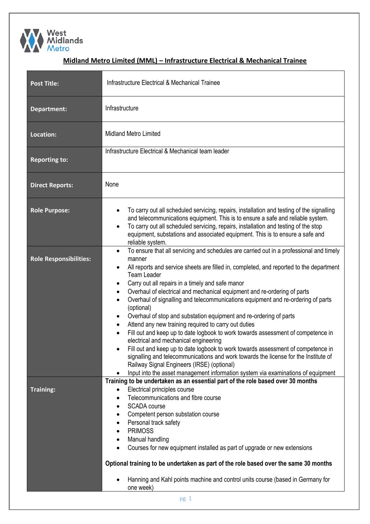

## **Midland Metro Limited (MML) – Infrastructure Electrical & Mechanical Trainee**

| <b>Post Title:</b>            | Infrastructure Electrical & Mechanical Trainee                                                                                                                                                                                                                                                                                                                                                                                                                                                                                                                                                                                                                                                                                                                                                                                                                                                                                                                                                                                                                                                                       |  |  |  |
|-------------------------------|----------------------------------------------------------------------------------------------------------------------------------------------------------------------------------------------------------------------------------------------------------------------------------------------------------------------------------------------------------------------------------------------------------------------------------------------------------------------------------------------------------------------------------------------------------------------------------------------------------------------------------------------------------------------------------------------------------------------------------------------------------------------------------------------------------------------------------------------------------------------------------------------------------------------------------------------------------------------------------------------------------------------------------------------------------------------------------------------------------------------|--|--|--|
| Department:                   | Infrastructure                                                                                                                                                                                                                                                                                                                                                                                                                                                                                                                                                                                                                                                                                                                                                                                                                                                                                                                                                                                                                                                                                                       |  |  |  |
| Location:                     | <b>Midland Metro Limited</b>                                                                                                                                                                                                                                                                                                                                                                                                                                                                                                                                                                                                                                                                                                                                                                                                                                                                                                                                                                                                                                                                                         |  |  |  |
| <b>Reporting to:</b>          | Infrastructure Electrical & Mechanical team leader                                                                                                                                                                                                                                                                                                                                                                                                                                                                                                                                                                                                                                                                                                                                                                                                                                                                                                                                                                                                                                                                   |  |  |  |
| <b>Direct Reports:</b>        | None                                                                                                                                                                                                                                                                                                                                                                                                                                                                                                                                                                                                                                                                                                                                                                                                                                                                                                                                                                                                                                                                                                                 |  |  |  |
| <b>Role Purpose:</b>          | To carry out all scheduled servicing, repairs, installation and testing of the signalling<br>$\bullet$<br>and telecommunications equipment. This is to ensure a safe and reliable system.<br>To carry out all scheduled servicing, repairs, installation and testing of the stop<br>$\bullet$<br>equipment, substations and associated equipment. This is to ensure a safe and<br>reliable system.                                                                                                                                                                                                                                                                                                                                                                                                                                                                                                                                                                                                                                                                                                                   |  |  |  |
| <b>Role Responsibilities:</b> | To ensure that all servicing and schedules are carried out in a professional and timely<br>$\bullet$<br>manner<br>All reports and service sheets are filled in, completed, and reported to the department<br>$\bullet$<br><b>Team Leader</b><br>Carry out all repairs in a timely and safe manor<br>٠<br>Overhaul of electrical and mechanical equipment and re-ordering of parts<br>٠<br>Overhaul of signalling and telecommunications equipment and re-ordering of parts<br>$\bullet$<br>(optional)<br>Overhaul of stop and substation equipment and re-ordering of parts<br>$\bullet$<br>Attend any new training required to carry out duties<br>$\bullet$<br>Fill out and keep up to date logbook to work towards assessment of competence in<br>$\bullet$<br>electrical and mechanical engineering<br>Fill out and keep up to date logbook to work towards assessment of competence in<br>signalling and telecommunications and work towards the license for the Institute of<br>Railway Signal Engineers (IRSE) (optional)<br>Input into the asset management information system via examinations of equipment |  |  |  |
| <b>Training:</b>              | Training to be undertaken as an essential part of the role based over 30 months<br>Electrical principles course<br>٠<br>Telecommunications and fibre course<br><b>SCADA</b> course<br>$\bullet$<br>Competent person substation course<br>Personal track safety<br>$\bullet$<br><b>PRIMOSS</b><br>$\bullet$<br>Manual handling<br>$\bullet$<br>Courses for new equipment installed as part of upgrade or new extensions<br>Optional training to be undertaken as part of the role based over the same 30 months<br>Hanning and Kahl points machine and control units course (based in Germany for<br>one week)<br>pg. 1                                                                                                                                                                                                                                                                                                                                                                                                                                                                                               |  |  |  |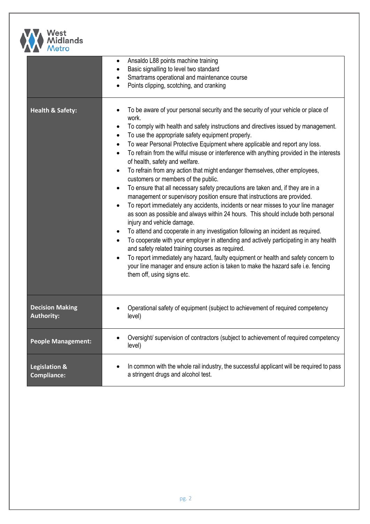

| <i>INGUO</i>                                   |                                                                                                                                                                                                                                                                                                                                                                                                                                                                                                                                                                                                                                                                                                                                                                                                                                                                                                                                                                                                                                                                                                                                                                                                                                                                                                                                                                                                                                                                                                                        |  |  |
|------------------------------------------------|------------------------------------------------------------------------------------------------------------------------------------------------------------------------------------------------------------------------------------------------------------------------------------------------------------------------------------------------------------------------------------------------------------------------------------------------------------------------------------------------------------------------------------------------------------------------------------------------------------------------------------------------------------------------------------------------------------------------------------------------------------------------------------------------------------------------------------------------------------------------------------------------------------------------------------------------------------------------------------------------------------------------------------------------------------------------------------------------------------------------------------------------------------------------------------------------------------------------------------------------------------------------------------------------------------------------------------------------------------------------------------------------------------------------------------------------------------------------------------------------------------------------|--|--|
|                                                | Ansaldo L88 points machine training<br>$\bullet$<br>Basic signalling to level two standard<br>$\bullet$<br>Smartrams operational and maintenance course<br>Points clipping, scotching, and cranking                                                                                                                                                                                                                                                                                                                                                                                                                                                                                                                                                                                                                                                                                                                                                                                                                                                                                                                                                                                                                                                                                                                                                                                                                                                                                                                    |  |  |
| <b>Health &amp; Safety:</b>                    | To be aware of your personal security and the security of your vehicle or place of<br>work.<br>To comply with health and safety instructions and directives issued by management.<br>٠<br>To use the appropriate safety equipment properly.<br>$\bullet$<br>To wear Personal Protective Equipment where applicable and report any loss.<br>$\bullet$<br>To refrain from the wilful misuse or interference with anything provided in the interests<br>$\bullet$<br>of health, safety and welfare.<br>To refrain from any action that might endanger themselves, other employees,<br>$\bullet$<br>customers or members of the public.<br>To ensure that all necessary safety precautions are taken and, if they are in a<br>$\bullet$<br>management or supervisory position ensure that instructions are provided.<br>To report immediately any accidents, incidents or near misses to your line manager<br>$\bullet$<br>as soon as possible and always within 24 hours. This should include both personal<br>injury and vehicle damage.<br>To attend and cooperate in any investigation following an incident as required.<br>$\bullet$<br>To cooperate with your employer in attending and actively participating in any health<br>$\bullet$<br>and safety related training courses as required.<br>To report immediately any hazard, faulty equipment or health and safety concern to<br>$\bullet$<br>your line manager and ensure action is taken to make the hazard safe i.e. fencing<br>them off, using signs etc. |  |  |
| <b>Decision Making</b><br><b>Authority:</b>    | Operational safety of equipment (subject to achievement of required competency<br>level)                                                                                                                                                                                                                                                                                                                                                                                                                                                                                                                                                                                                                                                                                                                                                                                                                                                                                                                                                                                                                                                                                                                                                                                                                                                                                                                                                                                                                               |  |  |
| <b>People Management:</b>                      | Oversight/ supervision of contractors (subject to achievement of required competency<br>level)                                                                                                                                                                                                                                                                                                                                                                                                                                                                                                                                                                                                                                                                                                                                                                                                                                                                                                                                                                                                                                                                                                                                                                                                                                                                                                                                                                                                                         |  |  |
| <b>Legislation &amp;</b><br><b>Compliance:</b> | In common with the whole rail industry, the successful applicant will be required to pass<br>a stringent drugs and alcohol test.                                                                                                                                                                                                                                                                                                                                                                                                                                                                                                                                                                                                                                                                                                                                                                                                                                                                                                                                                                                                                                                                                                                                                                                                                                                                                                                                                                                       |  |  |